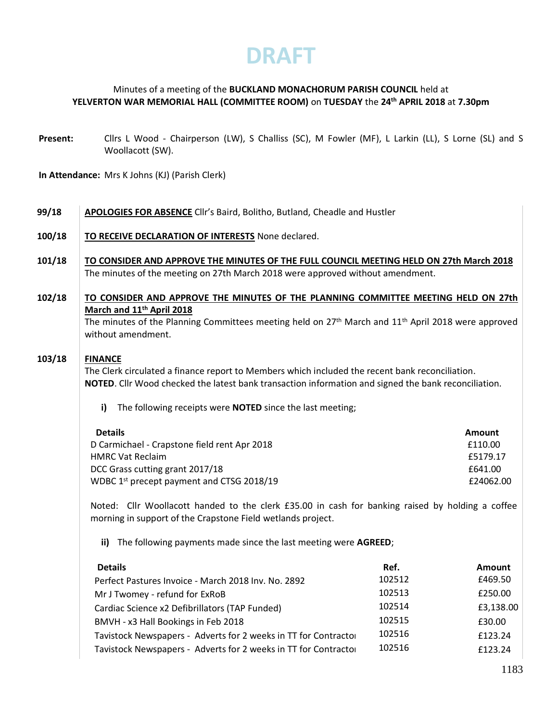## Minutes of a meeting of the **BUCKLAND MONACHORUM PARISH COUNCIL** held at **YELVERTON WAR MEMORIAL HALL (COMMITTEE ROOM)** on **TUESDAY** the **24 th APRIL 2018** at **7.30pm**

**Present:** Cllrs L Wood - Chairperson (LW), S Challiss (SC), M Fowler (MF), L Larkin (LL), S Lorne (SL) and S Woollacott (SW).

**In Attendance:** Mrs K Johns (KJ) (Parish Clerk)

- **99/18 APOLOGIES FOR ABSENCE** Cllr's Baird, Bolitho, Butland, Cheadle and Hustler
- **100/18 TO RECEIVE DECLARATION OF INTERESTS** None declared.
- **101/18 TO CONSIDER AND APPROVE THE MINUTES OF THE FULL COUNCIL MEETING HELD ON 27th March 2018** The minutes of the meeting on 27th March 2018 were approved without amendment.

## **102/18 TO CONSIDER AND APPROVE THE MINUTES OF THE PLANNING COMMITTEE MEETING HELD ON 27th March and 11th April 2018**

The minutes of the Planning Committees meeting held on  $27<sup>th</sup>$  March and  $11<sup>th</sup>$  April 2018 were approved without amendment.

### **103/18 FINANCE**

The Clerk circulated a finance report to Members which included the recent bank reconciliation. **NOTED**. Cllr Wood checked the latest bank transaction information and signed the bank reconciliation.

**i)** The following receipts were **NOTED** since the last meeting;

| <b>Details</b><br>Amount                                           |  |
|--------------------------------------------------------------------|--|
| D Carmichael - Crapstone field rent Apr 2018<br>£110.00            |  |
| £5179.17<br><b>HMRC Vat Reclaim</b>                                |  |
| DCC Grass cutting grant 2017/18<br>£641.00                         |  |
| WDBC 1 <sup>st</sup> precept payment and CTSG 2018/19<br>£24062.00 |  |

Noted: Cllr Woollacott handed to the clerk £35.00 in cash for banking raised by holding a coffee morning in support of the Crapstone Field wetlands project.

**ii)** The following payments made since the last meeting were **AGREED**;

| <b>Details</b>                                                  | Ref.   | Amount    |
|-----------------------------------------------------------------|--------|-----------|
| Perfect Pastures Invoice - March 2018 Inv. No. 2892             | 102512 | £469.50   |
| Mr J Twomey - refund for ExRoB                                  | 102513 | £250.00   |
| Cardiac Science x2 Defibrillators (TAP Funded)                  | 102514 | £3,138.00 |
| BMVH - x3 Hall Bookings in Feb 2018                             | 102515 | £30.00    |
| Tavistock Newspapers - Adverts for 2 weeks in TT for Contractor | 102516 | £123.24   |
| Tavistock Newspapers - Adverts for 2 weeks in TT for Contractor | 102516 | £123.24   |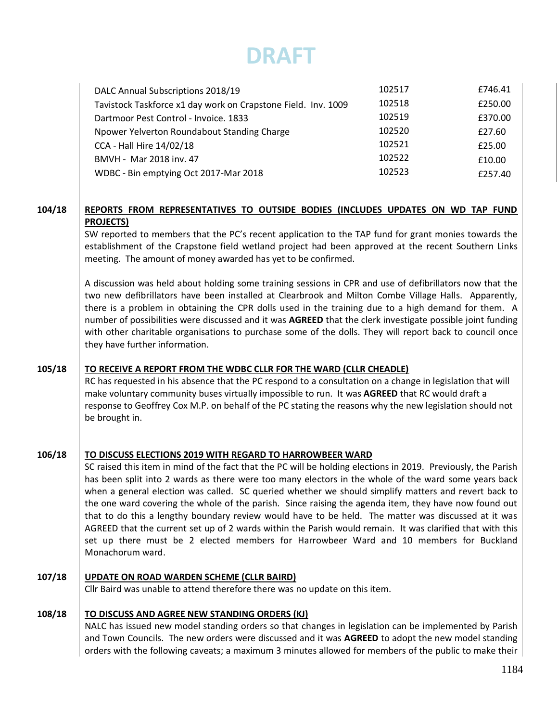| DALC Annual Subscriptions 2018/19                             | 102517 | £746.41 |
|---------------------------------------------------------------|--------|---------|
| Tavistock Taskforce x1 day work on Crapstone Field. Inv. 1009 | 102518 | £250.00 |
| Dartmoor Pest Control - Invoice. 1833                         | 102519 | £370.00 |
| Npower Yelverton Roundabout Standing Charge                   | 102520 | £27.60  |
| CCA - Hall Hire 14/02/18                                      | 102521 | £25.00  |
| BMVH - Mar 2018 inv. 47                                       | 102522 | £10.00  |
| WDBC - Bin emptying Oct 2017-Mar 2018                         | 102523 | £257.40 |

### **104/18 REPORTS FROM REPRESENTATIVES TO OUTSIDE BODIES (INCLUDES UPDATES ON WD TAP FUND PROJECTS)**

SW reported to members that the PC's recent application to the TAP fund for grant monies towards the establishment of the Crapstone field wetland project had been approved at the recent Southern Links meeting. The amount of money awarded has yet to be confirmed.

A discussion was held about holding some training sessions in CPR and use of defibrillators now that the two new defibrillators have been installed at Clearbrook and Milton Combe Village Halls. Apparently, there is a problem in obtaining the CPR dolls used in the training due to a high demand for them. A number of possibilities were discussed and it was **AGREED** that the clerk investigate possible joint funding with other charitable organisations to purchase some of the dolls. They will report back to council once they have further information.

#### **105/18 TO RECEIVE A REPORT FROM THE WDBC CLLR FOR THE WARD (CLLR CHEADLE)**

RC has requested in his absence that the PC respond to a consultation on a change in legislation that will make voluntary community buses virtually impossible to run. It was **AGREED** that RC would draft a response to Geoffrey Cox M.P. on behalf of the PC stating the reasons why the new legislation should not be brought in.

#### **106/18 TO DISCUSS ELECTIONS 2019 WITH REGARD TO HARROWBEER WARD**

SC raised this item in mind of the fact that the PC will be holding elections in 2019. Previously, the Parish has been split into 2 wards as there were too many electors in the whole of the ward some years back when a general election was called. SC queried whether we should simplify matters and revert back to the one ward covering the whole of the parish. Since raising the agenda item, they have now found out that to do this a lengthy boundary review would have to be held. The matter was discussed at it was AGREED that the current set up of 2 wards within the Parish would remain. It was clarified that with this set up there must be 2 elected members for Harrowbeer Ward and 10 members for Buckland Monachorum ward.

#### **107/18 UPDATE ON ROAD WARDEN SCHEME (CLLR BAIRD)**

Cllr Baird was unable to attend therefore there was no update on this item.

#### **108/18 TO DISCUSS AND AGREE NEW STANDING ORDERS (KJ)**

NALC has issued new model standing orders so that changes in legislation can be implemented by Parish and Town Councils. The new orders were discussed and it was **AGREED** to adopt the new model standing orders with the following caveats; a maximum 3 minutes allowed for members of the public to make their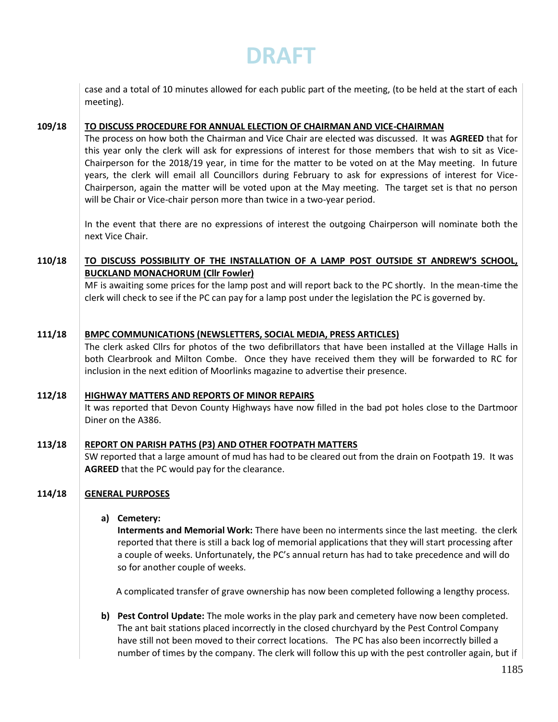case and a total of 10 minutes allowed for each public part of the meeting, (to be held at the start of each meeting).

**109/18 TO DISCUSS PROCEDURE FOR ANNUAL ELECTION OF CHAIRMAN AND VICE-CHAIRMAN**

> The process on how both the Chairman and Vice Chair are elected was discussed. It was **AGREED** that for this year only the clerk will ask for expressions of interest for those members that wish to sit as Vice-Chairperson for the 2018/19 year, in time for the matter to be voted on at the May meeting. In future years, the clerk will email all Councillors during February to ask for expressions of interest for Vice-Chairperson, again the matter will be voted upon at the May meeting. The target set is that no person will be Chair or Vice-chair person more than twice in a two-year period.

> In the event that there are no expressions of interest the outgoing Chairperson will nominate both the next Vice Chair.

### **110/18 TO DISCUSS POSSIBILITY OF THE INSTALLATION OF A LAMP POST OUTSIDE ST ANDREW'S SCHOOL, BUCKLAND MONACHORUM (Cllr Fowler)**

MF is awaiting some prices for the lamp post and will report back to the PC shortly. In the mean-time the clerk will check to see if the PC can pay for a lamp post under the legislation the PC is governed by.

**111/18 BMPC COMMUNICATIONS (NEWSLETTERS, SOCIAL MEDIA, PRESS ARTICLES)**

> The clerk asked Cllrs for photos of the two defibrillators that have been installed at the Village Halls in both Clearbrook and Milton Combe. Once they have received them they will be forwarded to RC for inclusion in the next edition of Moorlinks magazine to advertise their presence.

#### **112/18 HIGHWAY MATTERS AND REPORTS OF MINOR REPAIRS**

It was reported that Devon County Highways have now filled in the bad pot holes close to the Dartmoor Diner on the A386.

#### **113/18 REPORT ON PARISH PATHS (P3) AND OTHER FOOTPATH MATTERS**

SW reported that a large amount of mud has had to be cleared out from the drain on Footpath 19. It was **AGREED** that the PC would pay for the clearance.

## **114/18 GENERAL PURPOSES**

## **a) Cemetery:**

**Interments and Memorial Work:** There have been no interments since the last meeting. the clerk reported that there is still a back log of memorial applications that they will start processing after a couple of weeks. Unfortunately, the PC's annual return has had to take precedence and will do so for another couple of weeks.

A complicated transfer of grave ownership has now been completed following a lengthy process.

**b) Pest Control Update:** The mole works in the play park and cemetery have now been completed. The ant bait stations placed incorrectly in the closed churchyard by the Pest Control Company have still not been moved to their correct locations. The PC has also been incorrectly billed a number of times by the company. The clerk will follow this up with the pest controller again, but if